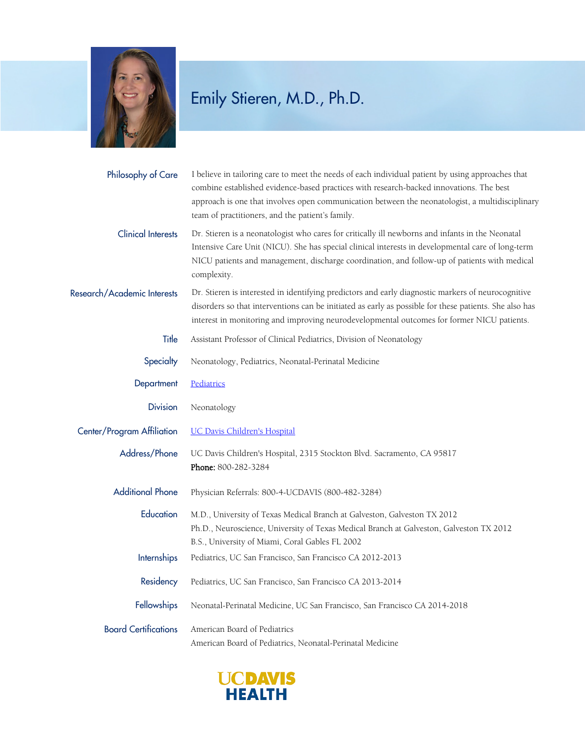

## Emily Stieren, M.D., Ph.D.

| Philosophy of Care          | I believe in tailoring care to meet the needs of each individual patient by using approaches that<br>combine established evidence-based practices with research-backed innovations. The best<br>approach is one that involves open communication between the neonatologist, a multidisciplinary<br>team of practitioners, and the patient's family. |
|-----------------------------|-----------------------------------------------------------------------------------------------------------------------------------------------------------------------------------------------------------------------------------------------------------------------------------------------------------------------------------------------------|
| <b>Clinical Interests</b>   | Dr. Stieren is a neonatologist who cares for critically ill newborns and infants in the Neonatal<br>Intensive Care Unit (NICU). She has special clinical interests in developmental care of long-term<br>NICU patients and management, discharge coordination, and follow-up of patients with medical<br>complexity.                                |
| Research/Academic Interests | Dr. Stieren is interested in identifying predictors and early diagnostic markers of neurocognitive<br>disorders so that interventions can be initiated as early as possible for these patients. She also has<br>interest in monitoring and improving neurodevelopmental outcomes for former NICU patients.                                          |
| Title                       | Assistant Professor of Clinical Pediatrics, Division of Neonatology                                                                                                                                                                                                                                                                                 |
| Specialty                   | Neonatology, Pediatrics, Neonatal-Perinatal Medicine                                                                                                                                                                                                                                                                                                |
| Department                  | Pediatrics                                                                                                                                                                                                                                                                                                                                          |
| <b>Division</b>             | Neonatology                                                                                                                                                                                                                                                                                                                                         |
| Center/Program Affiliation  | <b>UC Davis Children's Hospital</b>                                                                                                                                                                                                                                                                                                                 |
| Address/Phone               | UC Davis Children's Hospital, 2315 Stockton Blvd. Sacramento, CA 95817<br>Phone: 800-282-3284                                                                                                                                                                                                                                                       |
| <b>Additional Phone</b>     | Physician Referrals: 800-4-UCDAVIS (800-482-3284)                                                                                                                                                                                                                                                                                                   |
| Education                   | M.D., University of Texas Medical Branch at Galveston, Galveston TX 2012<br>Ph.D., Neuroscience, University of Texas Medical Branch at Galveston, Galveston TX 2012<br>B.S., University of Miami, Coral Gables FL 2002                                                                                                                              |
| <b>Internships</b>          | Pediatrics, UC San Francisco, San Francisco CA 2012-2013                                                                                                                                                                                                                                                                                            |
| Residency                   | Pediatrics, UC San Francisco, San Francisco CA 2013-2014                                                                                                                                                                                                                                                                                            |
| <b>Fellowships</b>          | Neonatal-Perinatal Medicine, UC San Francisco, San Francisco CA 2014-2018                                                                                                                                                                                                                                                                           |
| <b>Board Certifications</b> | American Board of Pediatrics<br>American Board of Pediatrics, Neonatal-Perinatal Medicine                                                                                                                                                                                                                                                           |

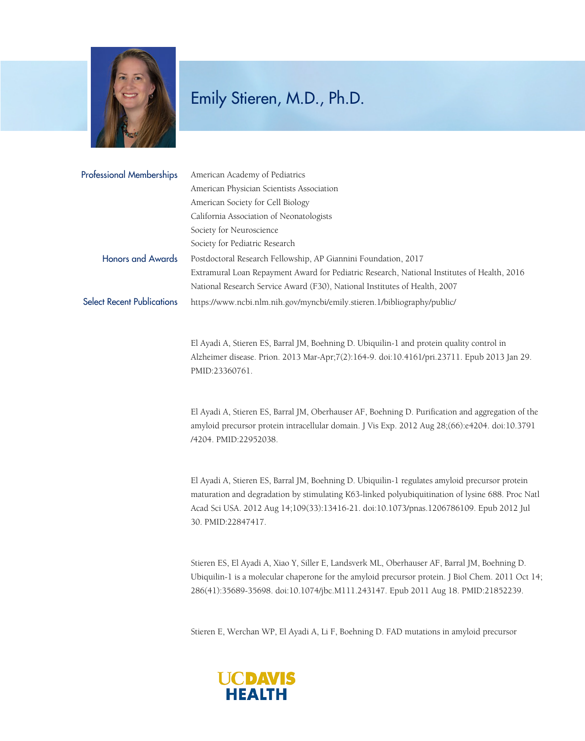

## Emily Stieren, M.D., Ph.D.

| <b>Professional Memberships</b>   | American Academy of Pediatrics                                                              |
|-----------------------------------|---------------------------------------------------------------------------------------------|
|                                   | American Physician Scientists Association                                                   |
|                                   | American Society for Cell Biology                                                           |
|                                   | California Association of Neonatologists                                                    |
|                                   | Society for Neuroscience                                                                    |
|                                   | Society for Pediatric Research                                                              |
| <b>Honors and Awards</b>          | Postdoctoral Research Fellowship, AP Giannini Foundation, 2017                              |
|                                   | Extramural Loan Repayment Award for Pediatric Research, National Institutes of Health, 2016 |
|                                   | National Research Service Award (F30), National Institutes of Health, 2007                  |
| <b>Select Recent Publications</b> | https://www.ncbi.nlm.nih.gov/myncbi/emily.stieren.1/bibliography/public/                    |

El Ayadi A, Stieren ES, Barral JM, Boehning D. Ubiquilin-1 and protein quality control in Alzheimer disease. Prion. 2013 Mar-Apr;7(2):164-9. doi:10.4161/pri.23711. Epub 2013 Jan 29. PMID:23360761.

El Ayadi A, Stieren ES, Barral JM, Oberhauser AF, Boehning D. Purification and aggregation of the amyloid precursor protein intracellular domain. J Vis Exp. 2012 Aug 28;(66):e4204. doi:10.3791 /4204. PMID:22952038.

El Ayadi A, Stieren ES, Barral JM, Boehning D. Ubiquilin-1 regulates amyloid precursor protein maturation and degradation by stimulating K63-linked polyubiquitination of lysine 688. Proc Natl Acad Sci USA. 2012 Aug 14;109(33):13416-21. doi:10.1073/pnas.1206786109. Epub 2012 Jul 30. PMID:22847417.

Stieren ES, El Ayadi A, Xiao Y, Siller E, Landsverk ML, Oberhauser AF, Barral JM, Boehning D. Ubiquilin-1 is a molecular chaperone for the amyloid precursor protein. J Biol Chem. 2011 Oct 14; 286(41):35689-35698. doi:10.1074/jbc.M111.243147. Epub 2011 Aug 18. PMID:21852239.

Stieren E, Werchan WP, El Ayadi A, Li F, Boehning D. FAD mutations in amyloid precursor